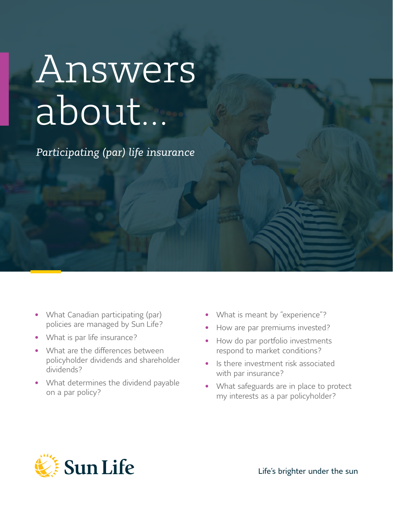# Answers about…

*Participating (par) life insurance*

- What Canadian participating (par) policies are managed by Sun Life?
- What is par life insurance?
- What are the differences between policyholder dividends and shareholder dividends?
- What determines the dividend payable on a par policy?
- What is meant by "experience"?
- How are par premiums invested?
- How do par portfolio investments respond to market conditions?
- Is there investment risk associated with par insurance?
- What safeguards are in place to protect my interests as a par policyholder?

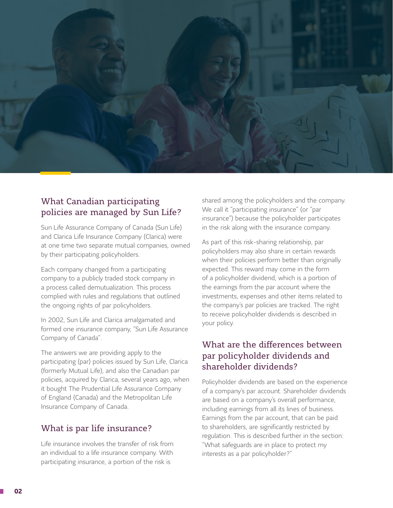

## What Canadian participating policies are managed by Sun Life?

Sun Life Assurance Company of Canada (Sun Life) and Clarica Life Insurance Company (Clarica) were at one time two separate mutual companies, owned by their participating policyholders.

Each company changed from a participating company to a publicly traded stock company in a process called demutualization. This process complied with rules and regulations that outlined the ongoing rights of par policyholders.

In 2002, Sun Life and Clarica amalgamated and formed one insurance company, "Sun Life Assurance Company of Canada".

The answers we are providing apply to the participating (par) policies issued by Sun Life, Clarica (formerly Mutual Life), and also the Canadian par policies, acquired by Clarica, several years ago, when it bought The Prudential Life Assurance Company of England (Canada) and the Metropolitan Life Insurance Company of Canada.

## What is par life insurance?

Life insurance involves the transfer of risk from an individual to a life insurance company. With participating insurance, a portion of the risk is

shared among the policyholders and the company. We call it "participating insurance" (or "par insurance") because the policyholder participates in the risk along with the insurance company.

As part of this risk-sharing relationship, par policyholders may also share in certain rewards when their policies perform better than originally expected. This reward may come in the form of a policyholder dividend, which is a portion of the earnings from the par account where the investments, expenses and other items related to the company's par policies are tracked. The right to receive policyholder dividends is described in your policy.

## What are the differences between par policyholder dividends and shareholder dividends?

Policyholder dividends are based on the experience of a company's par account. Shareholder dividends are based on a company's overall performance, including earnings from all its lines of business. Earnings from the par account, that can be paid to shareholders, are significantly restricted by regulation. This is described further in the section: "What safeguards are in place to protect my interests as a par policyholder?"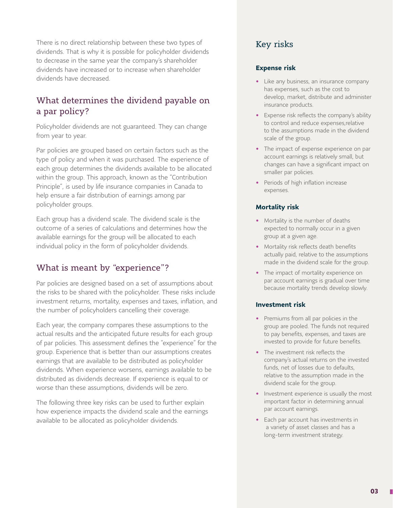There is no direct relationship between these two types of dividends. That is why it is possible for policyholder dividends to decrease in the same year the company's shareholder dividends have increased or to increase when shareholder dividends have decreased.

## What determines the dividend payable on a par policy?

Policyholder dividends are not guaranteed. They can change from year to year.

Par policies are grouped based on certain factors such as the type of policy and when it was purchased. The experience of each group determines the dividends available to be allocated within the group. This approach, known as the "Contribution Principle", is used by life insurance companies in Canada to help ensure a fair distribution of earnings among par policyholder groups.

Each group has a dividend scale. The dividend scale is the outcome of a series of calculations and determines how the available earnings for the group will be allocated to each individual policy in the form of policyholder dividends.

## What is meant by "experience"?

Par policies are designed based on a set of assumptions about the risks to be shared with the policyholder. These risks include investment returns, mortality, expenses and taxes, inflation, and the number of policyholders cancelling their coverage.

Each year, the company compares these assumptions to the actual results and the anticipated future results for each group of par policies. This assessment defines the "experience" for the group. Experience that is better than our assumptions creates earnings that are available to be distributed as policyholder dividends. When experience worsens, earnings available to be distributed as dividends decrease. If experience is equal to or worse than these assumptions, dividends will be zero.

The following three key risks can be used to further explain how experience impacts the dividend scale and the earnings available to be allocated as policyholder dividends.

## Key risks

#### **Expense risk**

- Like any business, an insurance company has expenses, such as the cost to develop, market, distribute and administer insurance products.
- Expense risk reflects the company's ability to control and reduce expenses,relative to the assumptions made in the dividend scale of the group.
- The impact of expense experience on par account earnings is relatively small, but changes can have a significant impact on smaller par policies.
- Periods of high inflation increase expenses.

#### **Mortality risk**

- Mortality is the number of deaths expected to normally occur in a given group at a given age.
- Mortality risk reflects death benefits actually paid, relative to the assumptions made in the dividend scale for the group.
- The impact of mortality experience on par account earnings is gradual over time because mortality trends develop slowly.

#### **Investment risk**

- Premiums from all par policies in the group are pooled. The funds not required to pay benefits, expenses, and taxes are invested to provide for future benefits.
- The investment risk reflects the company's actual returns on the invested funds, net of losses due to defaults, relative to the assumption made in the dividend scale for the group.
- Investment experience is usually the most important factor in determining annual par account earnings.
- Each par account has investments in a variety of asset classes and has a long-term investment strategy.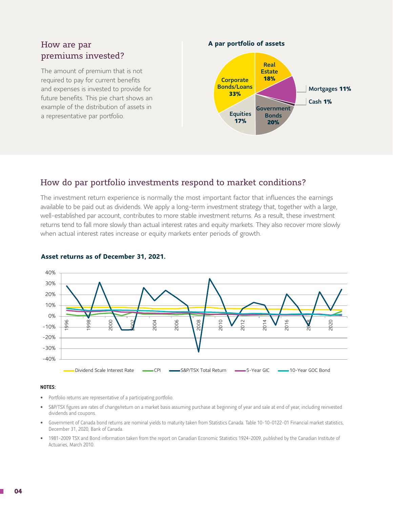## How are par premiums invested?

The amount of premium that is not required to pay for current benefits and expenses is invested to provide for future benefits. This pie chart shows an example of the distribution of assets in a representative par portfolio.

**A par portfolio of assets**



## How do par portfolio investments respond to market conditions?

The investment return experience is normally the most important factor that influences the earnings available to be paid out as dividends. We apply a long-term investment strategy that, together with a large, well-established par account, contributes to more stable investment returns. As a result, these investment returns tend to fall more slowly than actual interest rates and equity markets. They also recover more slowly when actual interest rates increase or equity markets enter periods of growth.



#### **Asset returns as of December 31, 2021.**

#### NOTES:

- Portfolio returns are representative of a participating portfolio.
- S&P/TSX figures are rates of change/return on a market basis assuming purchase at beginning of year and sale at end of year, including reinvested dividends and coupons.
- Government of Canada bond returns are nominal yields to maturity taken from Statistics Canada. Table 10-10-0122-01 Financial market statistics, December 31, 2020, Bank of Canada.
- 1981-2009 TSX and Bond information taken from the report on Canadian Economic Statistics 1924-2009, published by the Canadian Institute of Actuaries, March 2010.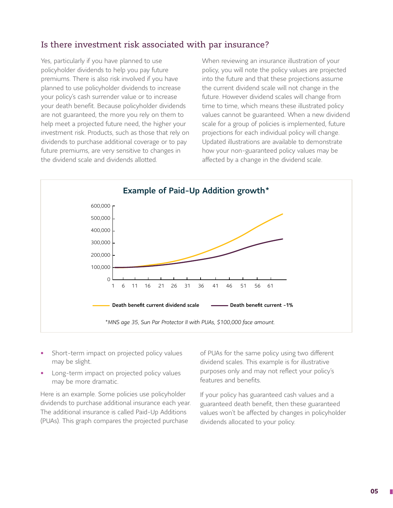## Is there investment risk associated with par insurance?

Yes, particularly if you have planned to use policyholder dividends to help you pay future premiums. There is also risk involved if you have planned to use policyholder dividends to increase your policy's cash surrender value or to increase your death benefit. Because policyholder dividends are not guaranteed, the more you rely on them to help meet a projected future need, the higher your investment risk. Products, such as those that rely on dividends to purchase additional coverage or to pay future premiums, are very sensitive to changes in the dividend scale and dividends allotted.

When reviewing an insurance illustration of your policy, you will note the policy values are projected into the future and that these projections assume the current dividend scale will not change in the future. However dividend scales will change from time to time, which means these illustrated policy values cannot be guaranteed. When a new dividend scale for a group of policies is implemented, future projections for each individual policy will change. Updated illustrations are available to demonstrate how your non-guaranteed policy values may be affected by a change in the dividend scale.



- Short-term impact on projected policy values may be slight.
- Long-term impact on projected policy values may be more dramatic.

Here is an example. Some policies use policyholder dividends to purchase additional insurance each year. The additional insurance is called Paid-Up Additions (PUAs). This graph compares the projected purchase

of PUAs for the same policy using two different dividend scales. This example is for illustrative purposes only and may not reflect your policy's features and benefits.

If your policy has guaranteed cash values and a guaranteed death benefit, then these guaranteed values won't be affected by changes in policyholder dividends allocated to your policy.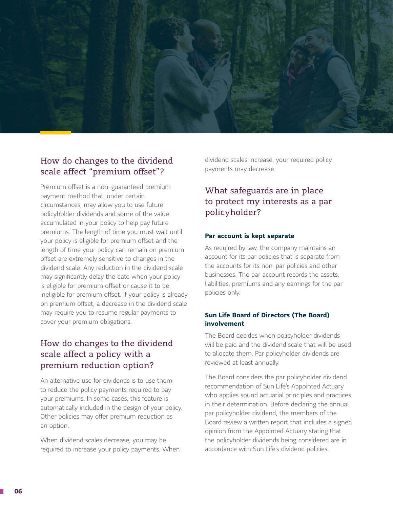

## How do changes to the dividend scale affect "premium offset"?

Premium offset is a non-guaranteed premium payment method that, under certain circumstances, may allow you to use future policyholder dividends and some of the value accumulated in your policy to help pay future premiums. The length of time you must wait until your policy is eligible for premium offset and the length of time your policy can remain on premium offset are extremely sensitive to changes in the dividend scale. Any reduction in the dividend scale may significantly delay the date when your policy is eligible for premium offset or cause it to be ineligible for premium offset. If your policy is already on premium offset, a decrease in the dividend scale may require you to resume regular payments to cover your premium obligations.

## How do changes to the dividend scale affect a policy with a premium reduction option?

An alternative use for dividends is to use them to reduce the policy payments required to pay your premiums. In some cases, this feature is automatically included in the design of your policy. Other policies may offer premium reduction as an option.

When dividend scales decrease, you may be required to increase your policy payments. When dividend scales increase, your required policy payments may decrease.

## What safeguards are in place to protect my interests as a par policyholder?

#### **Par account is kept separate**

As required by law, the company maintains an account for its par policies that is separate from the accounts for its non-par policies and other businesses. The par account records the assets, liabilities, premiums and any earnings for the par policies only.

#### **Sun Life Board of Directors (The Board) involvement**

The Board decides when policyholder dividends will be paid and the dividend scale that will be used to allocate them. Par policyholder dividends are reviewed at least annually.

The Board considers the par policyholder dividend recommendation of Sun Life's Appointed Actuary who applies sound actuarial principles and practices in their determination. Before declaring the annual par policyholder dividend, the members of the Board review a written report that includes a signed opinion from the Appointed Actuary stating that the policyholder dividends being considered are in accordance with Sun Life's dividend policies.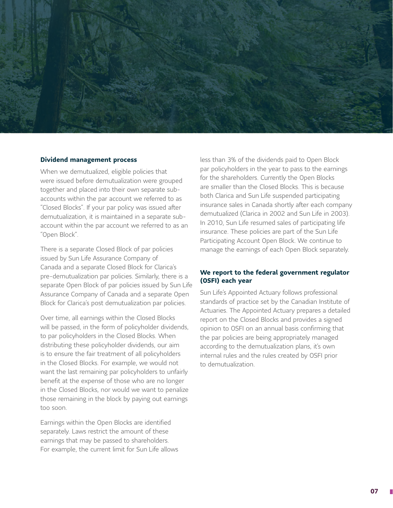

#### **Dividend management process**

When we demutualized, eligible policies that were issued before demutualization were grouped together and placed into their own separate subaccounts within the par account we referred to as "Closed Blocks". If your par policy was issued after demutualization, it is maintained in a separate subaccount within the par account we referred to as an "Open Block".

There is a separate Closed Block of par policies issued by Sun Life Assurance Company of Canada and a separate Closed Block for Clarica's pre-demutualization par policies. Similarly, there is a separate Open Block of par policies issued by Sun Life Assurance Company of Canada and a separate Open Block for Clarica's post demutualization par policies.

Over time, all earnings within the Closed Blocks will be passed, in the form of policyholder dividends, to par policyholders in the Closed Blocks. When distributing these policyholder dividends, our aim is to ensure the fair treatment of all policyholders in the Closed Blocks. For example, we would not want the last remaining par policyholders to unfairly benefit at the expense of those who are no longer in the Closed Blocks, nor would we want to penalize those remaining in the block by paying out earnings too soon.

Earnings within the Open Blocks are identified separately. Laws restrict the amount of these earnings that may be passed to shareholders. For example, the current limit for Sun Life allows

less than 3% of the dividends paid to Open Block par policyholders in the year to pass to the earnings for the shareholders. Currently the Open Blocks are smaller than the Closed Blocks. This is because both Clarica and Sun Life suspended participating insurance sales in Canada shortly after each company demutualized (Clarica in 2002 and Sun Life in 2003). In 2010, Sun Life resumed sales of participating life insurance. These policies are part of the Sun Life Participating Account Open Block. We continue to manage the earnings of each Open Block separately.

#### **We report to the federal government regulator (OSFI) each year**

Sun Life's Appointed Actuary follows professional standards of practice set by the Canadian Institute of Actuaries. The Appointed Actuary prepares a detailed report on the Closed Blocks and provides a signed opinion to OSFI on an annual basis confirming that the par policies are being appropriately managed according to the demutualization plans, it's own internal rules and the rules created by OSFI prior to demutualization.